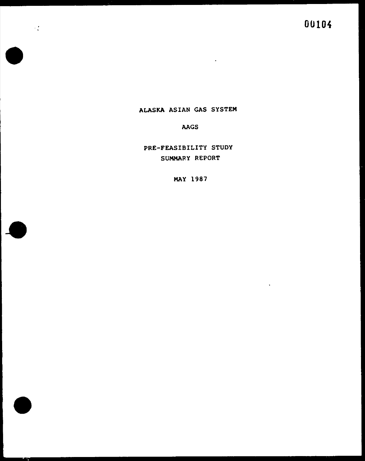• •



experience of the control of the control of the control of

•

ALASKA ASIAN GAS SYSTEM

AAGS

PRE-FEASIBILITY STUDY

SUMMARY REPORT

MAY 1987

0010~

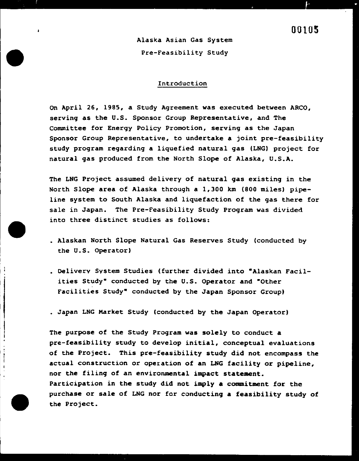• •

•

I I

'

•

I

• ' •

I

'

 $\mathbf{I}$   $\mathbf{I}$ 

 $\vert$ 

•

Alaska Asian Gas System

Pre-Feasibility Study

#### Introduction

# 00105

On April 26, 1985, a Study Agreement was executed between ARCO, serving as the U.S. Sponsor Group Representative, and The Committee for Energy Policy Promotion, serving as the Japan Sponsor Group Representative, to undertake a joint pre-feasibility study program regarding a liquefied natural gas (LNG) project for natural gas produced from the North Slope of Alaska, U.S.A.

The LNG Project assumed delivery of natural gas existing in the North Slope area of Alaska through a 1,300 km (800 miles) pipeline system to South Alaska and liquefaction of the gas there for sale in Japan. The Pre-Feasibility Study Program was divided into three distinct studies as follows:

# Participation in the study did not imply a commitment for the purchase or sale of LNG nor for conducting a feasibility study of the Project.

- Alaskan North Slope Natural Gas Reserves Study (conducted by the U.S. Operator)
- Delivery System Studies (further divided into •Alaskan Facilities Study" conducted by the U.S. Operator and "Other • Facilities Study" conducted by the Japan Sponsor Group)
- Japan LNG Market Study (conducted by the Japan Operator)

 $\left| \begin{array}{c} 1 \\ 1 \end{array} \right|$ 

The purpose of the Study Program was solely to conduct a pre-feasibility study to develop initial, conceptual evaluations of the Project. This pre-feasibility study did not encompass the actual construction or operation of an LNG facility or pipeline, nor the filing of an environmental impact statement.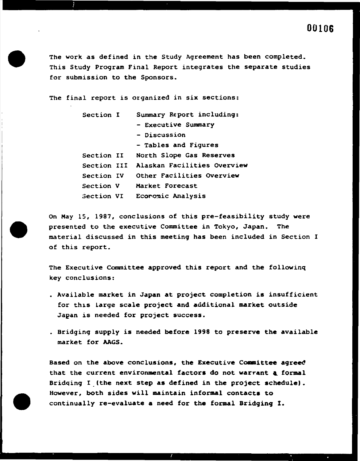

The work as defined in the Study Agreement has been completed. This Study Program Final Report integrates the separate studies for submission to the Sponsors.

The final report is organized in six sections:

- Section I Summary Report including:
	- Executive Summary
	- Discussion
	- Tables and Figures
- Section II North Slope Gas Reserves
- Section III Alaskan Facilities Overview
- Section IV Other Facilities OVerview
- Section V Market Forecast

Section VI Ecoromic Analysis

On Hay 15, 1987, conclusions of this pre-feasibility study were presented to the executive Conwittee in Tokyo, Japan. The material discussed in this meeting has been included in Section I of this report.

# Bridqing I (the next step as defined in the project schedule). However, both sides will maintain informal contacts to continually re-evaluate a need for the formal Bridging I.

The Executive Committee approved this report and the followinq key conclusions:

- Available market in Japan at project completion is insufficient for this large scale project and additional market outside Japan is needed for project success.
- Bridging supply is needed before 1998 to preserve the available market for AAGS.

Based on the above conclusions, the Executive Committee agreed that the current environmental factors do not warrant a formal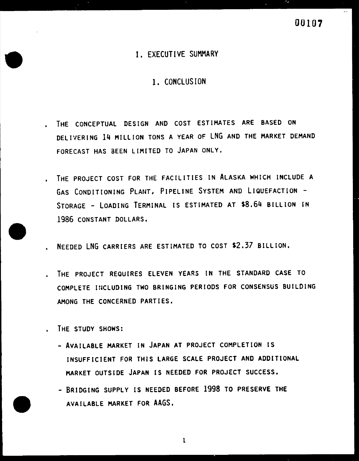

# I. EXECUTIVE SUMMARY

1. CONCLUSION

- THE CONCEPTUAL DESIGN AND COST ESTIMATES ARE BASED ON DELIVERING 14 MILLION TONS A YEAR OF LNG AND THE MARKET DEMAND FORECAST HAS BEEN LIMITED TO JAPAN ONLY,
- THE PROJECT COST FOR THE FACILITIES IN ALASKA WHICH INCLUDE A

GAS CONDITIONING PLANT, PIPELINE SYSTEM AND LIQUEFACTION STORAGE - LOADING TERMINAL IS ESTIMATED AT \$8,64 BILLION IN 1986 CONSTANT DOLLARS,

- NEEDED LNG CARRIERS ARE ESTIMATED TO COST \$2.37 BILLION.
- THE PROJECT REQUIRES ELEVEN YEARS IN THE STANDARD CASE TO COMPLETE INCLUDING TWO BRINGING PERIODS FOR CONSENSUS BUILDING AMONG THE CONCERNED PARTIES.
- THE STUDY SHOWS:
	- AVAILABLE MARKET IN JAPAN AT PROJECT COMPLETION IS INSUFFICIENT FOR THIS LARGE SCALE PROJECT AND ADDITIONAL MARKET OUTSIDE JAPAN IS NEEDED FOR PROJECT SUCCESS,

- BRIDGING SUPPLY IS NEEDED BEFORE 1998 TO PRESERVE THE





l

...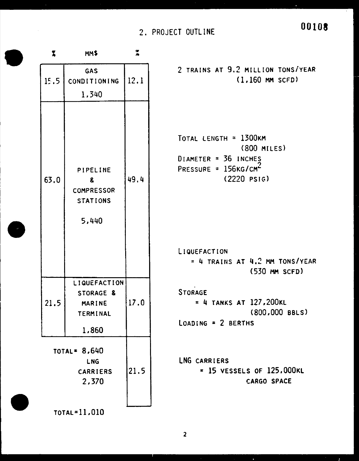# 2. PROJECT OUTLINE **00108**



| $\mathbf{z}$ | Ψ                                                              |      |
|--------------|----------------------------------------------------------------|------|
| 15.5         | GAS<br>CONDITIONING<br>1,340                                   | 12.1 |
| 63.0         | PIPELINE<br>8<br><b>COMPRESSOR</b><br><b>STATIONS</b><br>5,440 | 49.4 |
| 21.5         | LIQUEFACTION<br>STORAGE &<br>MARINE<br>TERMINAL<br>1,860       | 17.0 |
| TOTAL= 8,640 | 21.5                                                           |      |

2.370



## TOTAL=11.010

# 2 TRAINS AT 9.2 MILLION TONSiYEAR (1.160 MM SCFD)

```
TOTAL LENGTH = 1300KM 
                 (800 MILES) 
DIAMETER = 36 INCHES
PRESSURE 
                      ? 
          = 156KG/CM\leq(2220 PSIG)
```

```
LIQUEFACTION 
   = 4 TRAINS AT 4.2 MM TONS/YEAR
                  (530 MM SCFD) 
    • 
STORAGE 
    = 4 TANKS AT l27,200KL 
                  (800,000 BBLS) 
LOADING = 2 BERTHS 
LNG CARRIERS 
     = 15 VESSELS OF l25.000KL
```
2

CARGO SPACE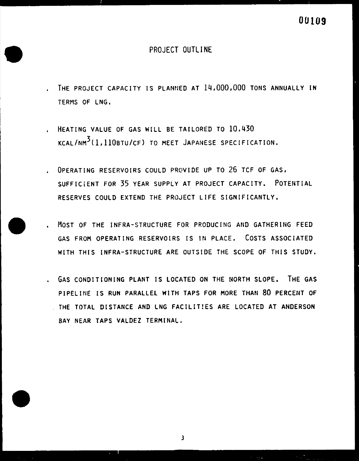# PROJECT OUTLINE

- THE PROJECT CAPACITY IS PLANNED AT 14,000,000 TONS ANNUALLY IN TERMS OF LNG.
- HEATING VALUE OF GAS WILL BE TAILORED TO 10,430 KCAL/NM<sup>3</sup>(1,110BTU/CF) TO MEET JAPANESE SPECIFICATION.
- OPERATING RESERVOIRS COULD PROVIDE UP TO 26 TCF OF GAS, SUFFICiENT FOR 35 YEAR SUPPLY AT PROJECT CAPACITY. POTENTIAL

RESERVES COULD EXTEND THE PROJECT LIFE SIGNIFICANTLY,

- MOST OF THE INFRA-STRUCTURE FOR PRODUCING AND GATHERING FEED GAS FROM OPERATING RESERVOIRS IS IN PLACE. COSTS ASSOCIATED WITH THIS INFRA-STRUCTURE ARE OUTSIDE THE SCOPE OF THIS STUDY.
- . GAS CONDITIONING PLANT IS LOCATED ON THE NORTH SLOPE. THE GAS PIPELINE IS RUN PARALLEL WITH TAPS FOR MORE THAN 80 PERCENT OF THE TOTAL DISTANCE AND LNG FACILIT!ES ARE LOCATED AT ANDERSON BAY NEAR TAPS VALDEZ TERMINAL.

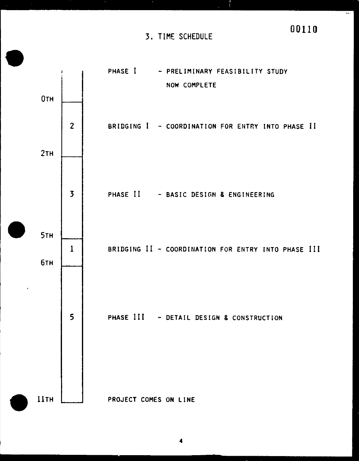

#### PROJECT COMES ON LINE



**4**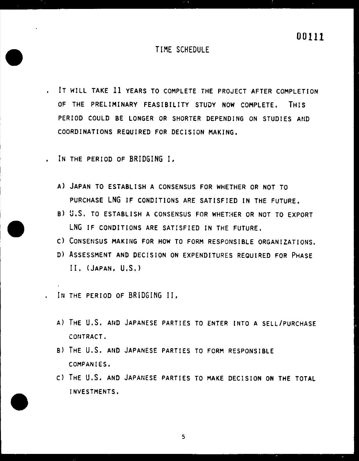•

- ' IT WILL TAKE 11 YEARS TO COMPLETE THE PROJECT AFTER COMPLETION OF THE PRELIMINARY FEASIBILITY STUDY NOW COMPLETE, THIS PERIOD COULD BE LONGER OR SHORTER DEPENDING ON STUDIES AND COORDINATIONS REQUIRED FOR DECISiON MAKING,
- ' IN THE PERIOD OF BRIDGING I,

# **00111**

# TIME SCHEDULE

A) JAPAN TO ESTABLISH A CONSENSUS FOR WHETHER OR NOT TO

- B) U.S. TO ESTABLISH A CONSENSUS FOR WHETHER OR NOT TO EXPORT LNG IF CONDITIONS ARE SATISFIED IN THE FUTURE.
- C) CONSENSUS MAKIHG FOR HOW TO FORM RESPONSIBLE ORGANIZATIONS.
- D) ASSESSMENT AND DECISION ON EXPENDITURES REQUIRED FOR PHASE II. (JAPAN, U.S.)
- ' IN THE PERIOD OF BRIDGING II.

PURCHASE LNG IF CONDITIONS ARE SATISFIED IN THE FUTURE,

•

- A) THE U.S. AHD JAPANESE PARTIES TO ENTER INTO A SELL/PURCHASE CONTRACT.
- B) THE U.S. AHD JAPANESE PARTIES TO FORM RESPONSIBLE COMPANIES.
- C) THE U.S. AND JAPANESE PARTIES TO MAKE DECISION ON THE TOTAL



#### INVESTMENTS.

- 
- 
- 5
	- - -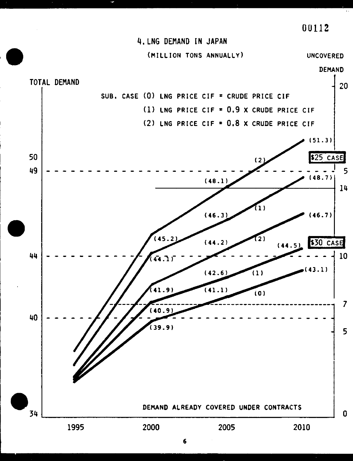. ~

•



•



#### DEMAND ALREADY COVERED UNDER CONTRACTS



1995 2000 2005 2010

6

0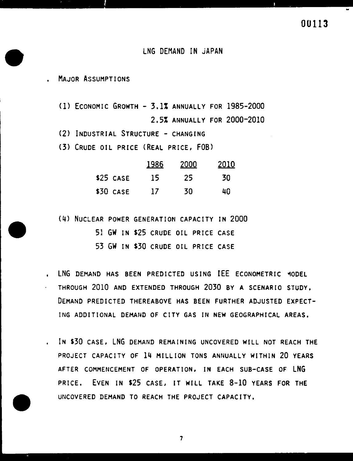- LNG DEMAND HAS BEEN PREDICTED USING IEE ECONOMETRIC MODEL THROUGH 2010 AND EXTENDED THROUGH 2030 BY A SCENARIO STUDY, DEMAND PREDICTED THEREABOVE HAS BEEN FURTHER ADJUSTED EXPECT-ING ADDITIONAL DEMAND OF CITY GAS IN NEW GEOGRAPHICAL AREAS.
- !N S30 CASE, LNG DEMAND REMAINING UNCOVERED WILL NOT REACH THE PROJECT CAPACITY OF 14 MILLION TONS ANHUALLY WITHIN 20 YEARS AFTER COMMENCEMENT OF OPERATION, IN EACH SUB-CASE OF LNG

•

## LNG DEMAND IN JAPAN

. The contract of the contract of the contract of the contract of the contract of the contract of the contract of the contract of the contract of the contract of the contract of the contract of the contract of the contrac

- MAJOR ASSUMPTIONS
	- (1) ECONOMIC GROWTH 3.1% ANNUALLY FOR 1985-2000 2.5% AHNUALLY FOR 2000-2010
	- (2) INDUSTRIAL STRUCTURE CHANGING
	- (3) CRUDE OIL PRICE (REAL PRICE, FOB)

|                            | 1986 2000 | <u> 2010 </u>                 |
|----------------------------|-----------|-------------------------------|
| $$25 \; \text{case} \; 15$ | -25.      | -30                           |
| $\sim$ 7 $\sim$<br>_ _ _ _ | – –       | $\mathbf{L} \cdot \mathbf{L}$ |

\$30 CASE 17 30 40

(4) NUCLEAR POWER GENERATION CAPACITY IN 2000 51 GW IN \$25 CRUDE OIL PRICE CASE 53 GW IN \$30 CRUDE OIL PRICE CASE

#### PRICE. EVEN IN \$25 CASE, IT WILL TAKE 8-10 YEARS FOR THE

#### UNCOVERED DEMAND TO REACH THE PROJECT CAPACITY.

7



-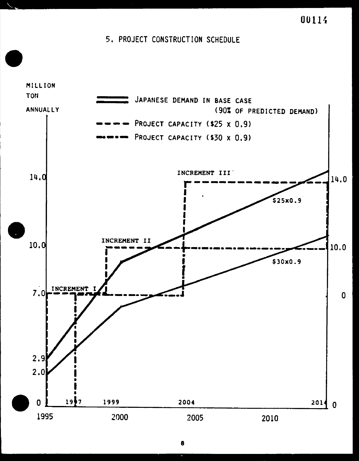

**OOlH** 

# 5. PROJECT CONSTRUCTION SCHEDULE



**8** 

ſ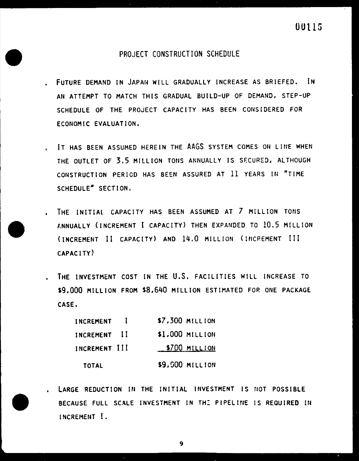#### • LARGE REDUCTION IN THE INITIAL INVESTMENT IS NOT POSSIBLE

#### BECAUSE FULL SCALE INVESTMENT IN THE PIPELINE IS REQUIRED IN

00115

## PROJECT CONSTRUCTION SCHEDULE

- FUTURE DEMAND IN JAPAN WILL GRADUALLY INCREASE AS BRIEFED. IN AN ATTEMPT TO MATCH THIS GRADUAL BUILD-UP OF DEMAND, STEP-UP SCHEDULE OF THE PROJECT CAPACITY HAS BEEN CONSIDERED FOR ECONOMIC EVALUATION.
- IT HAS BEEN ASSUMED HEREIN THE AAGS SYSTEM COMES OH LINE WHEN THE OUTLET OF 3.5 MILLION TONS ANNUALLY IS SECURED, ALTHOUGH CONSTRUCTION PERIOD HAS BEEN ASSURED AT 11 YEARS IN "TIME SCHEDULE" SECTION.
- 
- THE INITIAL CAPACITY HAS BEEN ASSUMED AT 7 MILLION TONS ANNUALLY (INCREMENT I CAPACITY) THEN EXPANDED TO 10.5 MILLION (INCREMENT II CAPACITY) AND 14.0 MILLION (INCREMENT III CAPACITY)
	- THE INVESTMENT COST IN THE U.S. FACILITIES WILL INCREASE TO • \$9,000 MILLION FROM \$8,640 MILLION ESTIMATED FOP. ONE PACKAGE CASE.
		- INCREMENT I INCREMENT I 1 INCREMENT III TOTAL **\$7,300 MILLION** \$1,000 MILLION **\$700 MILLION** \$9.500 MILLION



9

INCREMENT I.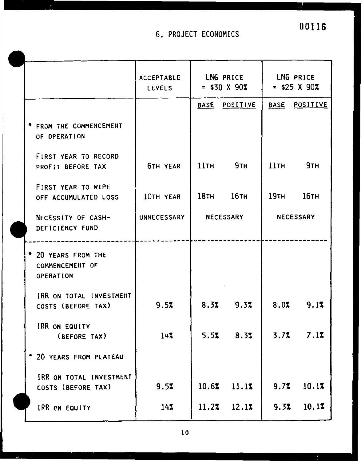# 6. PROJECT ECOHOMICS

 $\bullet$ 

 $\frac{1}{2}$ 

 $\frac{1}{2}$   $\frac{1}{2}$   $\frac{1}{2}$   $\frac{1}{2}$ 

|                                                     | <b>ACCEPTABLE</b><br><b>LEVELS</b> |                  | LNG PRICE<br>$=$ \$30 X 90% | LNG PRICE<br>$=$ \$25 X 90% |                                   |  |
|-----------------------------------------------------|------------------------------------|------------------|-----------------------------|-----------------------------|-----------------------------------|--|
|                                                     |                                    | <b>BASE</b>      | <b>POSITIVE</b>             | <b>BASE</b>                 | <u>POSITIVE</u>                   |  |
| <b>* FROM THE COMMENCEMENT</b><br>OF OPERATION      |                                    |                  |                             |                             |                                   |  |
| FIRST YEAR TO RECORD<br>PROFIT BEFORE TAX           | <b>6TH YEAR</b>                    | $11$ TH          | 9 <sub>TH</sub>             | $11$ TH                     | 9 <sub>TH</sub>                   |  |
| FIRST YEAR TO WIPE<br>OFF ACCUMULATED LOSS          | 10TH YEAR                          | 18 <sub>TH</sub> | $16$ TH                     | 19 <sub>TH</sub>            | 16тн                              |  |
| NECESSITY OF CASH-<br>DEFICIENCY FUND               | UNNECESSARY                        |                  | <b>NECESSARY</b>            |                             | NECESSARY                         |  |
| * 20 YEARS FROM THE<br>COMMENCEMENT OF<br>OPERATION |                                    |                  |                             |                             |                                   |  |
| IRR ON TOTAL INVESTMENT<br>COSTS (BEFORE TAX)       | 9.57                               | 8.32             | 9.32                        | 8.02                        | 9.1%                              |  |
| IRR ON EQUITY<br>(BEFORE TAX)                       | 147                                | 5.5%             | 8.37                        | 3.72                        | <i><b><i>I</i></b></i> . <i>A</i> |  |
| * 20 YEARS FROM PLATEAU                             |                                    |                  |                             |                             |                                   |  |
| IRR ON TOTAL INVESTMENT<br>COSTS (BEFORE TAX)       | 9.52                               | 10.6%            | 11.1%                       | 9.7%                        | 10.17                             |  |
| IRR ON EQUITY                                       | 147                                | 11.2%            | 12.1%                       | 9.37                        | 10.1%                             |  |

00116

ă.

10

.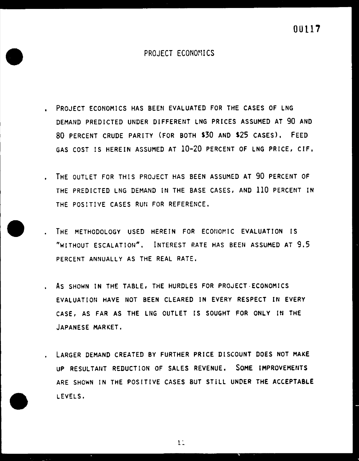

# PROJECT ECONOMICS

- PROJECT ECONOMICS HAS BEEN EVALUATED FOR THE CASES OF LNG DEMAND PREDICTED UNDER DIFFERENT LNG PRICES ASSUMED AT 90 AND 80 PERCENT CRUDE PARITY (FOR BOTH \$30 AND \$25 CASES), FEED GAS COST IS HEREIN ASSUMED AT 10-20 PERCENT OF LNG PRICE, C!F,
- THE OUTLET FOR THIS PROJECT HAS BEEN ASSUMED AT 90 PERCENT OF THE PREDICTED LNG DEMAND IN THE BASE CASES, AND 110 PERCENT IN THE POSITIVE CASES RUN FOR REFERENCE.
- THE METHODOLOGY USED HEREIN FOR ECONOMIC EVALUATION IS "WITHOUT ESCALATION", INTEREST RATE HAS BEEN ASSUMED AT 9.5 PERCENT ANNUALLY AS THE REAL RATE.
- As SHOWN IN THE TABLE, THE HURDLES FOR PROJECT-ECONOMICS EVALUATION HAVE NOT BEEN CLEARED IN EVERY RESPECT IN EVERY CASE, AS FAR AS THE LNG OUTLET IS SOUGHT FOR ONLY IN THE JAPANESE MARKET,
- LARGER DEMAND CREATED BY FURTHER PRICE DISCOUNT DOES NOT MAKE UP RESULTANT REDUCTION OF SALES REVENUE, SOME IMPROVEMENTS

## ARE SHOWN IN THE POSITIVE CASES BUT STiLL UNDER THE ACCEPTABLE

#### LEVELS.





1 . --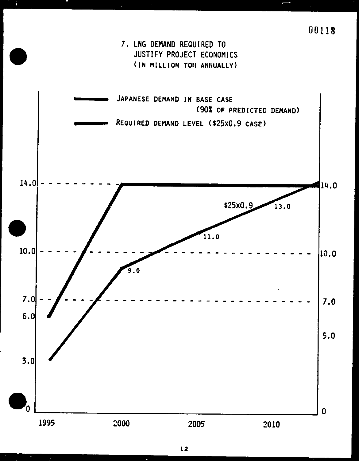7. LNG DEMAND REQUIRED TO JUSTIFY PROJECT ECONOMICS ( IN MILLION TON ANNUALLY)

JAPANESE DEMAND IN BASE CASE (90% OF PREDICTED DEMAND)

REQUIRED DEMAND LEVEL (S25x0.9 CASE)

14.0

 $\bullet$ 

00118



12

 $\bullet$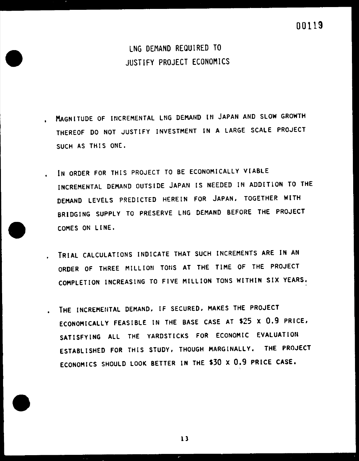MAGNITUDE OF INCREMENTAL LNG DEMAND IN JAPAN AND SLOW GROWTH THEREOF DO NOT JUSTIFY INVESTMENT IN A LARGE SCALE PROJECT SUCH AS THIS ONE.

IN ORDER FOR THIS PROJECT TO BE ECONOMICALLY VIABLE

LNG DEMAND REQUIRED TO JUSTIFY PROJECT ECONOMICS

![](_page_15_Picture_3.jpeg)

DEMAND LEVELS PREDICTED HEREIN FOR JAPAN, TOGETHER WITH BRIDGING SUPPLY TO PRESERVE LNG DEMAND BEFORE THE PROJECT COMES ON LINE.

INCREMENTAL DEMAND OUTSIDE JAPAN IS NEEDED IN ADDITION TO THE

- TRIAL CALCULATIONS INDICATE THAT SUCH INCREMENTS ARE IN AN ORDER OF THREE MILLION TONS AT THE TIME OF THE PROJECT COMPLETION INCREASING TO FIVE MILLION TONS WITHIN SIX YEARS.
	- THE INCREMENTAL DEMAND, IF SECURED, MAKES THE PROJECT ECONOMICALLY FEASIBLE IN THE BASE CASE AT \$25 X 0.9 PRICE, SATISFYING ALL THE YARDSTICKS FOR ECONOMIC EVALUATION ESTABLISHED FOR THIS STUDY, THOUGH MARGINALLY, THE PROJECT ECONOMICS SHOULD LOOK BETTER IN THE \$30 x 0.9 PRICE CASE.

![](_page_15_Picture_7.jpeg)

 $\bullet$ 

 $13$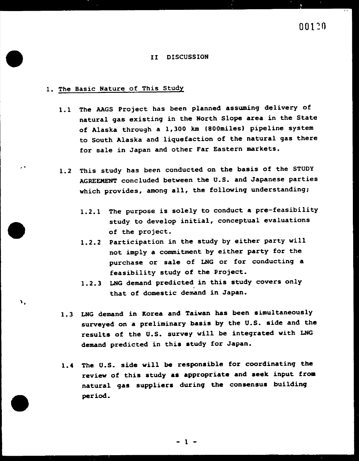• •

#### II DISCUSSION

#### 1. The Basic Nature of This Study

- 1.1 The AAGS Project has been planned assuming delivery of natural gas existing in the North Slope area in the State of Alaska through a 1,300 km 1800miles) pipeline system to South Alaska and liquefaction of the natural gas there for sale in Japan and other Far Eastern markets.
- 1.2 This study has been conducted on the basis of the STUDY AGREEMENT concluded between the U.S. and Japanese parties which provides, among all, the following understanding;

- 1.2.1 The purpose is solely to conduct a pre-feasibility study to develop initial, conceptual evaluations of the project.
- 1.2.2 Participation in the study by either party will not imply a commitment by either party for the purchase or sale of LNG or for conducting a feasibility study of the Project.
- 1.2.3 LNG demand predicted in this study covers only • that of domestic demand in Japan.
- 1.3 LNG demand in Korea and Taiwan has been simultaneously surveyed on a preliminary basis by the U.S. side and the results of the U.S. survey will be integrated with LNG demand predicted in this study for Japan.
- 1.4 The u.s. side will be responsible for coordinating the review of this study as appropriate and seek input from

# natural gas suppliers during the consensus building period.

![](_page_16_Picture_12.jpeg)

Λ,

- 1 -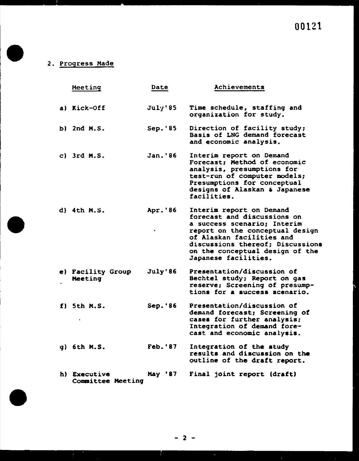# 2. Progress Made

F.

 $\bullet$ 

Committee Meeting

![](_page_17_Figure_6.jpeg)

00121

|          | Meeting                          | Date            | Achievements                                                                                                                                                                                                                                          |
|----------|----------------------------------|-----------------|-------------------------------------------------------------------------------------------------------------------------------------------------------------------------------------------------------------------------------------------------------|
|          | a) Kick-Off                      | July'85         | Time schedule, staffing and<br>organization for study.                                                                                                                                                                                                |
|          | b) 2nd M.S.                      | Sep. '85        | Direction of facility study;<br>Basis of LNG demand forecast<br>and economic analysis.                                                                                                                                                                |
|          | c) $3rd$ M.S.                    | Jan. '86        | Interim report on Demand<br>Forecast; Method of economic<br>analysis, presumptions for<br>test-run of computer models;<br>Presumptions for conceptual<br>designs of Alaskan & Japanese<br>facilities.                                                 |
|          | $d)$ 4th M.S.                    | Apr.'86<br>٠    | Interim report on Demand<br>forecast and discussions on<br>a success scenario; Interim<br>report on the conceptual design<br>of Alaskan facilities and<br>discussions thereof; Discussions<br>on the conceptual design of the<br>Japanese facilities. |
| e)       | <b>Facility Group</b><br>Meeting | July'86         | Presentation/discussion of<br>Bechtel study; Report on gas<br>reserve; Screening of presump-<br>tions for a success scenario.                                                                                                                         |
|          | $f)$ 5th $M.S.$<br>٠             | $Sep.$ '86      | Presentation/discussion of<br>demand forecast; Screening of<br>cases for further analysis;<br>Integration of demand fore-<br>cast and economic analysis.                                                                                              |
| <b>q</b> | 6th M.S.                         | <b>Feb. '87</b> | Integration of the study<br>results and discussion on the<br>outline of the draft report.                                                                                                                                                             |
| h)       | Executive                        | May '87         | Final joint report (draft)                                                                                                                                                                                                                            |

![](_page_17_Figure_7.jpeg)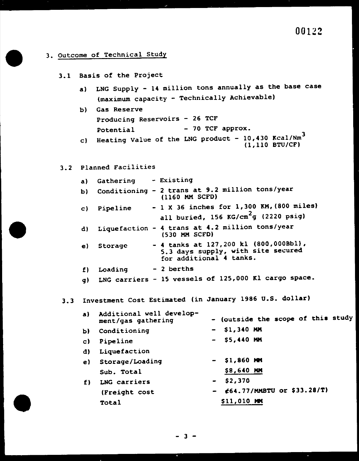00122

- 3. Outcome of Technical Study
	- 3.1 Basis of the Project
		- a) LNG Supply 14 million tons annually as the base case (maximum capacity - Technically Achievable)

b) Gas Reserve

Producing Reservoirs - 26 TCF Potential - 70 TCF approx.

- c) Heating Value of the LNG product  $10,430$  Kcal/Nm<sup>3</sup> (1,110 BTU/CF)
- 3.2 Planned Facilities
	- a) Gathering Existing
	- $2 + \text{range at } 9.2 \text{ million tons/year}$

- 3.3 Investment Cost Estimated (in January 1986 U.S. dollar)
	- a) Additional well develop-<br>ment/gas gathering Additional well develop<del>"</del> - (outside the scope of this study<br>ment/gas gathering - - (outside the scope of this study
	- b) Conditioning \$1,340 MM
	- c) Pipeline  $-$  55,440 MM
	- d) Liquefaction
	- e) Storage/Loading  $-$  \$1,860 MM Sub. Total \$8,640 MM
	- $f)$  LNG carriers \$2,370

![](_page_18_Picture_18.jpeg)

- 
- (Freight cost  $64.77/MMBTU$  or  $$33.28/T)$

| b)    |             | Conditioning - 2 trans at 9.2 million tons/year<br>(1160 MM SCFD)                                        |  |
|-------|-------------|----------------------------------------------------------------------------------------------------------|--|
|       | c) Pipeline | $-1$ X 36 inches for 1,300 KM, (800 miles)<br>all buried, $156$ KG/ $cm^2$ g (2220 psig)                 |  |
| d)    |             | Liquefaction - 4 trans at 4.2 million tons/year<br>$(530$ MM SCFD)                                       |  |
|       | e) Storage  | - 4 tanks at $127,200$ kl (800,000Bbl),<br>5.3 days supply, with site secured<br>for additional 4 tanks. |  |
| $f$ ) | Loading     | - 2 berths                                                                                               |  |
| g)    |             | LNG carriers - 15 vessels of 125,000 Kl cargo space.                                                     |  |

![](_page_18_Picture_24.jpeg)

![](_page_18_Figure_25.jpeg)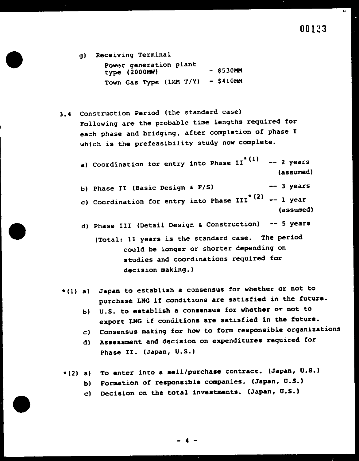J.

- g) Receiving Terminal Power generation plant  $type (2000MW)$  - \$530MM Town Gas Type (lMM T/Y) - \$410MM
- 3.4 Construction Period (the standard case) Following are the probable time lengths required for each phase and bridging, after completion of phase I which is the prefeasibility study now complete.

a) Coordination for entry into Phase  $I I^*(1)$  -- 2 years (assumed)

b) Phase II (Basic Design &  $F/S$ ) -- 3 years

c) Cocrdination for entry into Phase III<sup>\*</sup>  $(2)$  -- 1 year (assumed)

d) Phase III (Detail Design & Construction)  $-$  5 years

- b) U.S. to establish a consensus for whether or not to export LNG if conditions are satisfied in the future.
- c) Consensus making for how to form responsible organizations
- d) Assessment and decision on expenditures required for Phase II. (Japan, U.S.)

 $*(2)$  a) To enter into a sell/purchase contract. (Japan, U.S.)

(Total: 11 years is the standard case. The period could be longer or shorter depending on studies and coordinations required for decision making.)

\*(1) al Japan to establish a consensus for whether or not to purchase LNG if conditions are satisfied in the future.

- b) Formation of responsible companies. (Japan, U.S.)
- c) Decision on the total investments. (Japan, U.S.)

![](_page_19_Picture_15.jpeg)

![](_page_19_Picture_16.jpeg)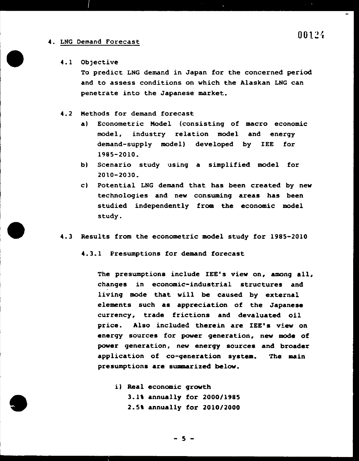# 00124

 $\Delta\mathbf{m}$ 

#### 4. LNG Demand Forecast

#### 4.1 Objective

To predict LNG demand in Japan for the concerned period and to assess conditions on which the Alaskan LNG can penetrate into the Japanese market.

#### 4.2 Methods for demand forecast

technologies and new consuming areas has been studied independently from the economic model study.

- al Econometric Model (consistinq of macro economic model, industry relation model and enerqy demand-supply model) developed by IEE for 1985-2010.
- bl Scenario study using a simplified model for 2010-2030.
- cl Potential LNG demand that has been created by new

4.3 Results from the econometric model study for 1985-2010

4.3.1 Presumptions for demand forecast

The presumptions include IEE's view on, among all, chanqes in economic-industrial structures and • livinq mode that will be caused by external elements such as appreciation of the Japanese currency, trade frictions and devaluated oil price. Also included therein are IEE's view on energy sources for power generation, new mode of power generation, new energy sources and broader application of co-generation system. The main presumptions are summarized below.

![](_page_20_Picture_12.jpeg)

il Real economic growth

3.1\ annually for 2000/1985

2.5, annually for 2010/2000

![](_page_20_Figure_16.jpeg)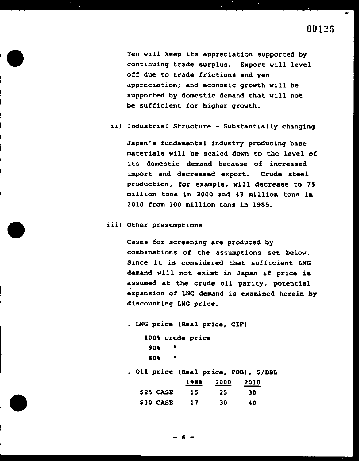Yen will keep its appreciation supported by continuing trade surplus. Export will level off due to trade frictions and yen appreciation; and economic growth will be supported by domestic demand that will not be sufficient for higher growth.

ii) Industrial Structure - Substantially changing

million tons in 2000 and 43 million tons in 2010 from 100 million tons in 1985.

Cases for screening are produced by combinations of the assumptions set below. Since it is considered that sufficient LNG demand will not exist in Japan if price is assumed at the crude oil parity, potential • expansion of LNG demand is examined herein by discounting LNG price.

Japan's fundamental industry producing base materials will be scaled down to the level of its domestic demand because of increased import and decreased export. Crude steel production, for example, will decrease to 75

• LNG price (Real price, CIFI 100% crude price

iii) Other presumptions

80,

90, •

• Oil price (Real price, FOB), \$/BBL

•

![](_page_21_Figure_12.jpeg)

![](_page_21_Figure_13.jpeg)

![](_page_21_Figure_14.jpeg)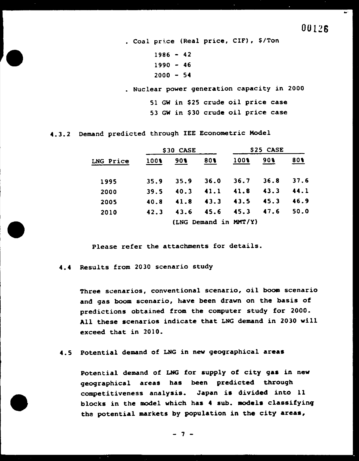00126

• Coal pr;.ce (Real price, CIF), \$/Ton  $1986 - 42$  $1990 - 46$  $2000 - 54$ 

• Nuclear power generation capacity in 2000

51 GW in \$25 crude oil price case 53 GW in \$30 crude oil price case

## 4.3.2 Demand predicted through lEE Econometric Model

Three scenarios, conventional scenario, oil boom scenario and gas boom scenario, have been drawn on the basis of predictions obtained from the computer study for 2000. All these scenarios indicate that LNG demand in 2030 will exceed that in 2010.

|           |      | \$30 CASE |                       | \$25 CASE |      |      |
|-----------|------|-----------|-----------------------|-----------|------|------|
| LNG Price | 100% | 90        | 80%                   | 100%      | 90   | 80%  |
| 1995      | 35.9 | 35.9      | 36.0                  | 36.7      | 36.8 | 37.6 |
| 2000      | 39.5 | 40.3      | 41.1                  | 41.8      | 43.3 | 44.1 |
| 2005      | 40.8 | 41.8      | 43.3                  | 43.5      | 45.3 | 46.9 |
| 2010      | 42.3 | 43.6      | 45.6                  | 45.3      | 47.6 | 50.0 |
|           |      |           | (LNG Demand in MMT/Y) |           |      |      |

Please refer the attachments for details.

4.4 Results from 2030 scenario study

Potential demand of LNG for supply of city g<mark>as in new</mark> geographical areas has been predicted through competitiveness analysis. Japan is divided into 11 blocks in the model which has 4 sub. models classifying tha potential markets by population in the city areas,

4.5 Potential demand of LNG in new geographical areas

- 7 -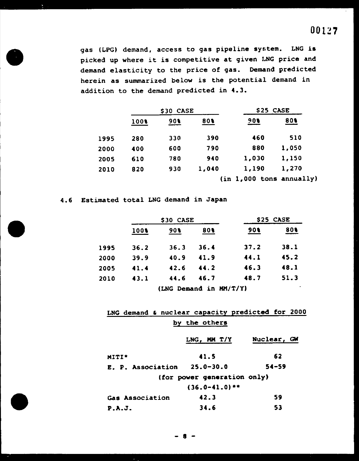gas (LPG) demand, access to gas pipeline system. LNG is picked up where it is competitive at given I.NG price and demand elasticity to the price of gas. Demand predicted herein as summarized below is the potential demand in addition to the demand predicted in 4.3.

|      |      | \$30 CASE |       | \$25 CASE |                            |  |
|------|------|-----------|-------|-----------|----------------------------|--|
|      | 1008 | 90        | 80%   | 60f       | 80%                        |  |
| 1995 | 280  | 330       | 390   | 460       | 510                        |  |
| 2000 | 400  | 600       | 790   | 880       | 1,050                      |  |
| 2005 | 610  | 780       | 940   | 1,030     | 1,150                      |  |
| 2010 | 820  | 930       | 1,040 | 1,190     | 1,270                      |  |
|      |      |           |       |           | $(in 1,000$ tons annually) |  |

4.6 Estimated total LNG demand in Japan

|      |      | \$30 CASE | \$25 CASE              |      |      |
|------|------|-----------|------------------------|------|------|
|      | 100% | $90$ \$   | 80%                    | 908  | 80%  |
| 1995 | 36.2 | 36.3      | 36.4                   | 37.2 | 38.1 |
| 2000 | 39.9 | 40.9      | 41.9                   | 44.1 | 45.2 |
| 2005 | 41.4 | 42.6      | 44.2                   | 46.3 | 48.1 |
| 2010 | 43.1 | 44.6      | 46.7                   | 48.7 | 51.3 |
|      |      |           | (LNG Demand in MM/T/Y) |      |      |

|       |                             |  |  | LNG demand & nuclear capacity predicted for 2000 |  |  |               |  |             |           |  |
|-------|-----------------------------|--|--|--------------------------------------------------|--|--|---------------|--|-------------|-----------|--|
|       |                             |  |  |                                                  |  |  | by the others |  |             |           |  |
|       |                             |  |  |                                                  |  |  | LNG, MM T/Y   |  | Nuclear, GW |           |  |
| MITI* |                             |  |  |                                                  |  |  | 41.5          |  |             | 62        |  |
|       |                             |  |  | E. P. Association $25.0-30.0$                    |  |  |               |  |             | $54 - 59$ |  |
|       | (for power generation only) |  |  |                                                  |  |  |               |  |             |           |  |

 $(36.0-41.0)**$ 

# Gas Association 42.3 59 P.A.J. 34.6 53

![](_page_23_Figure_9.jpeg)

![](_page_23_Picture_10.jpeg)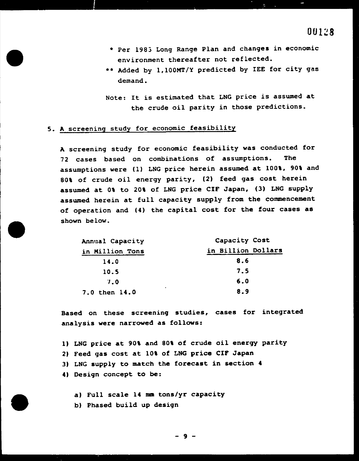- \* Per 1983 Long Range Plan and changes in economic environment thereafter not reflected.
- \*\* Added by l,lOOMT/Y predicted by IEE for city gas demand.

Note: It is estimated that LNG price is assumed at the crude oil parity in those predictions.

# 5. A screening study for economic feasibility

A screening study for economic feasibility was conducted for 72 cases based on combinations of assumptions. The assumptions were (1) LNG price herein assumed at 100%, 90% and 80% of crude oil energy parity, (2) feed gas cost herein assumed at 0\ to 20\ of LNG price CIF Japan, (3) LNG supply assumed herein at full capacity supply from the commencement of operation and (4) the capital cost for the four cases as shown below.

| Annual Capacity                 | Capacity Cost      |
|---------------------------------|--------------------|
| in Million Tons                 | in Billion Dollars |
| 14.0                            | 8.6                |
| 10.5                            | 7.5                |
| 7.0                             | 6.0                |
| $\blacksquare$<br>7.0 then 14.0 | 8.9                |

Based on these screeninq studies, cases for integrated analysis were narrowed as follows:

ll LNG price at 90\ and 80\ of crude oil energy parity

- 2) Feed gas cost at 10% of LNG price CIF Japan
- 3) LNG supply to match the forecast in section 4
- 4) Design concept to be:

#### a) Full scale 14 mm tons/yr capacity

b) Phased build up design

![](_page_24_Picture_14.jpeg)

![](_page_24_Picture_15.jpeg)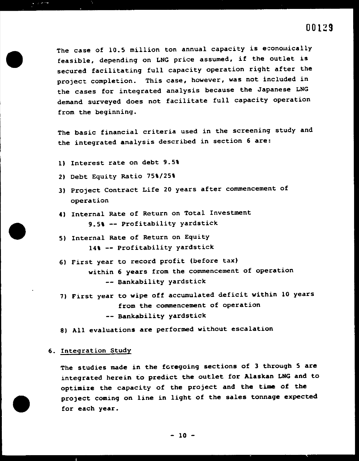•

The case of 10.5 million ton annual capacity is economically feasible, depending on LNG price assumed, if the outlet is secured facilitating full capacity operation right after the project completion. This case, however, was not included in the cases for integrated analysis because the Japanese LNG demand surveyed does not facilitate full capacity operation from the beginning.

- 1) Interest rate on debt 9.5\
- 2) Debt Equity Ratio 75%/25%
- 3) Project Contract Life 20 years after commencement of operation
- 4) Internal Rate of Return on Total Investment 9.5% -- Profitability yardstick
- 5) Internal Rate of Return on Equity 14% -- Profitability yardstick
- 6) First year to record profit (before tax) within 6 years from the commencement of operation -- Bankability yardstick
- 7) First year to wipe off accumulated deficit within 10 years from the commencement of operation

The basic financial criteria used in the screening study and the integrated analysis described in section 6 are:

- 8) All evaluations are performed without escalation
- 6. Integration Study

The studies made in the foregoing sections of 3 through 5 are integrated herein to predict the outlet for Alaskan LNG and to

![](_page_25_Picture_14.jpeg)

-- Bankability yardstick

# optimize the capacity of the project and the time of the project coming on line in light of the sales tonnage expected for each year.

 $-10 -$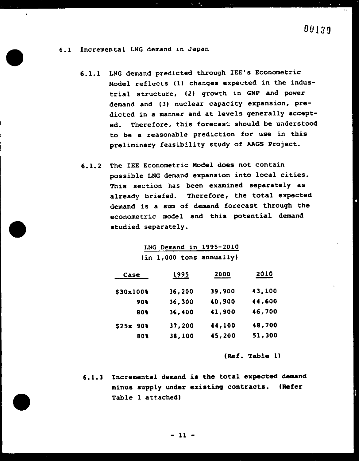•

# 00130

6.1 Incremental LNG demand in Japan

6.1.1 LNG demand predicted through lEE's Econometric Model reflects (1) changes expected in the industrial structure, (2) growth in GNP and power demand and (3) nuclear capacity expansion, predicted in a manner and at levels generally accepted. Therefore, this forecast should be understood to be a reasonable prediction for use in this preliminary feasibility study of AAGS Project.

 $S = \mathcal{F}_k$ 

6.1.2 The IEE Econometric Model does not contain possible LNG demand expansion into local cities. This section has been examined separately as

> already briefed. Therefore, the total expected demand is a sum of demand forecast through the econometric model and this potential demand studied separately.

|  | LNG Demand in 1995-2010    |
|--|----------------------------|
|  | $(in 1,000$ tons annually) |

| Case      | 1995   | 2000   | 2010   |
|-----------|--------|--------|--------|
| \$30x100% | 36,200 | 39,900 | 43,100 |
| 90%       | 36,300 | 40,900 | 44,600 |
| 80%       | 36,400 | 41,900 | 46,700 |
| \$25x 90  | 37,200 | 44,100 | 48,700 |
| 80%       | 38,100 | 45,200 | 51,300 |

(Ref. Table ll

6.1.3 Incremental demand is the total expected demand

# minus supply under existing contracts. (Refer Table 1 attached)

![](_page_26_Figure_10.jpeg)

••

•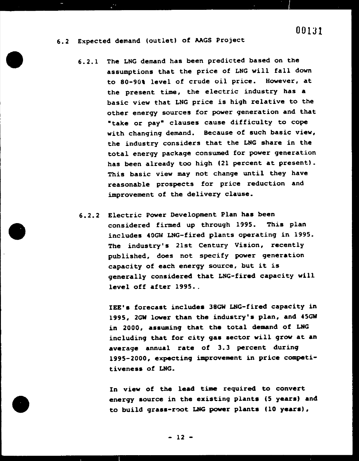# 001Jl

6.2 Expected demand (outlet) of AAGS Project

 $\frac{1}{\epsilon}$  ,  $\frac{1}{\epsilon}$  ,  $\frac{1}{\epsilon}$  ,  $\frac{1}{\epsilon}$  ,  $\frac{1}{\epsilon}$  ,  $\frac{1}{\epsilon}$  ,  $\frac{1}{\epsilon}$  ,  $\frac{1}{\epsilon}$  ,  $\frac{1}{\epsilon}$  ,  $\frac{1}{\epsilon}$  ,  $\frac{1}{\epsilon}$  ,  $\frac{1}{\epsilon}$  ,  $\frac{1}{\epsilon}$  ,  $\frac{1}{\epsilon}$  ,  $\frac{1}{\epsilon}$  ,  $\frac{1}{\epsilon}$  ,  $\frac{1}{\epsilon}$  ,

6.2.2 Electric Power Development Plan has been considered firmed up through 1995. This plan includes 40GW LNG-fired plants operating in 1995. The industry's 21st Century Vision, recently published, does not specify power generation capacity of each energy source, but it is generally considered that LNG-fired capacity will level off after 1995...

6.2.1 The LNG demand has been predicted based on the assumptions that the price of LNG will fall down to 80-90% level of crude oil price. However, at the present time, the electric industry has a basic view that LNG price is high relative to the other energy sources for power generation and that "take or pay" clauses cause difficulty to cope with changing demand. Because of such basic view, the industry considers that the LNG share in the total energy package consumed for power generation has been already too high (21 percent at present). This basic view may not change until they have reasonable prospects for price reduction and

# In view of the lead time required to convert energy source in the existing plants (5 years) and to build grass-root LNG power plants (10 years),

improvement of the delivery clause.

IEE's forecast includes 38GW LNG-fired capacity in 1995, 2GW lower than the industry's plan, and 45GW in 2000, assuming that the total demand of LNG including that for city gas sector will grow at an average annual rate of 3.3 percent during 1995-2000, expecting improvement in price competitiveness of LNG.

![](_page_27_Figure_8.jpeg)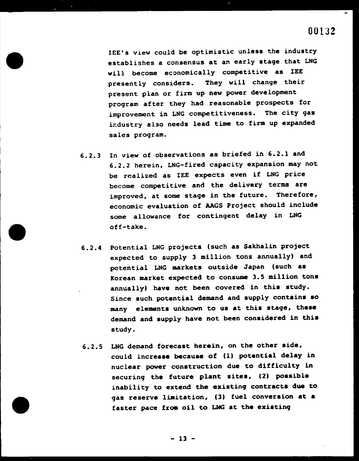•

# 00132

lEE's view could be optimistic unless the industry establishes a consensus at an early stage that LNG will become economically competitive as lEE presently considers. They will change their present plan or firm up new power development program after they had reasonable prospects for improvement in LNG competitiveness. The city gas ir.dustry also needs lead time to fixm up expanded sales program.

6.2.3 In view of observations as briefed in 6.2.1 and 6.2.2 herein, LNG-fired capacity expansion may not be realized as lEE expects even if LNG price become competitive and the delivery terms are

6.2.5 LNG demand forecast herein, on the other side, could increase because of (1) potential delay in nuclear power construction due to difficulty in securing the future plant sites, (2) possible

improved, at some stage in the future. Therefore, economic evaluation of AAGS Project should include some allowance for contingent delay in LNG off-take.

6.2.4 Potential LNG projects (such as Sakhalin project expected to supply 3 million tons annually) and potential LNG markets outside Japan (such as Korean market expected to consume 3.5 million tons annually) have not been covered in this study. Since such potential demand and supply contains so many elements unknown to us at this stage, these demand and supply have not been considered in this study.

# inability to extend the existing contracts due to gas reserve limitation, (3) fuel conversion at a faster pace from oil to LNG at the existing

![](_page_28_Figure_7.jpeg)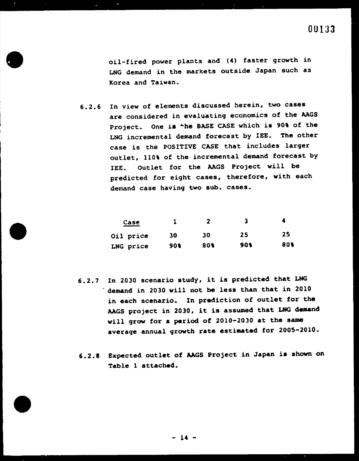oil-fired power plants and (4) faster growth in LNG demand in the markets outside Japan such as Korea and Taiwan.

6.2.7 In 2030 scenario study, it is predicted that LNG • in 2030 will not be less than that in 2010 in each scenario. In prediction of outlet for the and project in 2030, it is assumed that LNG demand period of 2010-2030 at the same average annual growth rate estimated for 2005-2010.

6.2.6 In view of elements discussed herein, two cases are considered in evaluating economics of the AAGS Project. One is \*he BASE CASE which is 90% of the LNG incremental demand forecast by IEE. The other case is the POSITIVE CASE that includes larger outlet, 110% of the incremental demand forecast by IEE. Outlet for the AAGS Project will be predicted for eight cases, therefore, with each demand case having two sub. cases.

| Case<br>والمستحقق والمراجع المالكين |            |             |     |     |
|-------------------------------------|------------|-------------|-----|-----|
| Oil price                           | 30         | 30          | 25  | 25  |
| LNG price                           | <b>90%</b> | 80 <b>t</b> | 90% | 80% |

6.2.8 Expected outlet of AAGS Project in Japan is shown on Table 1 attached.

![](_page_29_Picture_6.jpeg)

#### - 14 -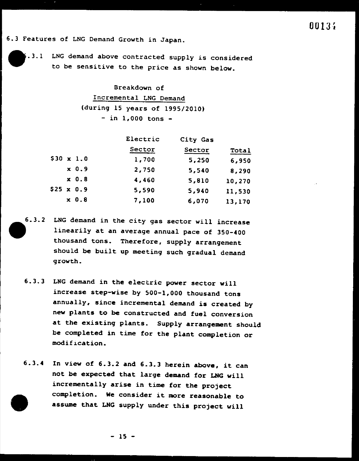Breakdown of Incremental LNG Demand (during 15 years of 1995/2010)  $-$  in 1,000 tons  $-$ 

. 3.1 LNG demand above contracted supply is considered to be sensitive to the price as shown below.

|                  | Electric | City Gas |        |
|------------------|----------|----------|--------|
|                  | Sector   | Sector   | Total  |
| $$30 \times 1.0$ | 1,700    | 5,250    | 6,950  |
| $x \ 0.9$        | 2,750    | 5,540    | 8,290  |
| $x$ 0.8          | 4,460    | 5,810    | 10,270 |
| $$25 \times 0.9$ | 5,590    | 5,940    | 11,530 |
| $x$ 0.8          | 7,100    | 6,070    | 13,170 |

- 6.3.2 LNG demand in the city gas sector will increase linearily at an average annual pace of 350-400 thousand tons. Therefore, supply arrangement should be built up meeting such gradual demand growth.
	- 6.3.3 LNG demand in the electric power sector will increase step-wise by 500-1,000 thousand tons annually, since incremental demand is created by new plants to be constructed and fuel conversion at the existing plants. Supply arrangement should be completed in time for the plant completion or modification.
	- 6.3.4 In view of 6.3.2 and 6.3.3 herein above, it can not be expected that large demand for LNG will

# incrementally arise in time for the project completion. We consider it more reasonable to assume that LNG supply under this project will

 $-15 -$ 

6.3 Features of LNG Demand Growth in Japan.

![](_page_30_Picture_2.jpeg)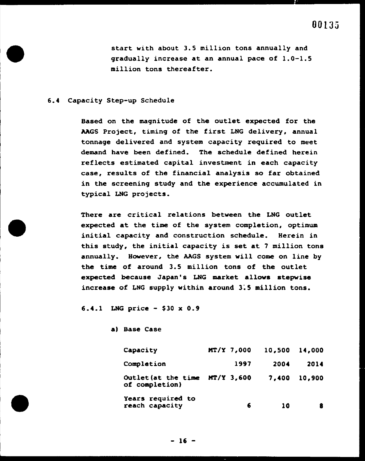start with about 3.5 million tons annually and gradually increase at an annual pace of 1.0-1.5 million tons thereafter.

#### 6.4 Capacity Step-up Schedule

Based on the magnitude of the outlet expected for the AAGS Project, timing of the first LNG delivery, annual tonnage delivered and system capacity required to meet demand have been defined. The schedule defined herein reflects estimated capital investment in each capacity case, results of the financial analysis so far obtained in the screening study and the experience accumulated in

typical LNG projects.

There are critical relations between the LNG outlet expected at the time of the system completion, optimum initial capacity and construction schedule. Herein in this study, the initial capacity is set at 7 million tons annually. However, the AAGS system will come on line by the time of around 3.5 million tons of the outlet expected because Japan's LNG market allows stepwise increase of LNG supply within around 3~5 million tons.

6.4.1 LNG price - \$30 x 0.9

#### al Base Case

Capacity MT/Y 7,000 Completion 1997 Outlet(at the time MT/Y 3,600 7,400 10,900 of completion) 10,500 14,000 2004 2014

#### Years required to reach capacity

- 16 -

6

10 8

![](_page_31_Picture_9.jpeg)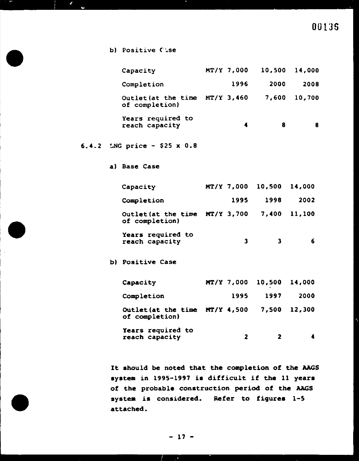| Capacity                              | $MT/Y$ 7,000 | 10,500 | 14,000 |
|---------------------------------------|--------------|--------|--------|
| Completion                            | 1996         | 2000   | 2008   |
| Outlet (at the time<br>of completion) | $MT/Y$ 3,460 | 7,600  | 10,700 |
| Years required to<br>reach capacity   | 4            | 8      | 8      |
| 6.4.2 LNG price - \$25 $\times$ 0.8   |              |        |        |

a) Base Case

# OOlJS

b) Positive Case

 $\mathbf{d}$ 

 $\bullet$ 

 $\mathcal{L}$ 

Capacity MT/Y 7,000 10,500 14,000

| Completion                                         | 1995       | 1998   | 2002   |
|----------------------------------------------------|------------|--------|--------|
| Outlet (at the time $MT/Y$ 3,700<br>of completion) |            | 7,400  | 11,100 |
| Years required to<br>reach capacity                | 3          |        | 6      |
| <b>b) Positive Case</b>                            |            |        |        |
| Capacity                                           | MT/Y 7,000 | 10,500 | 14,000 |
| Completion                                         | 1995       | 1997   | 2000   |
| Outlet (at the time $MT/Y$ 4,500<br>of completion) |            | 7,500  | 12,300 |
| Years required to<br>reach capacity                | 2          | 2      |        |

It should be noted that the completion of the AAGS system in 1995-1997 is difficult if the 11 years

of the probable construction period of the AAGS system is considered. Refer to figures 1-5 attached.

 $-17 -$ 

 $\mathcal{A}$ 

 $\bar{\mathcal{A}}$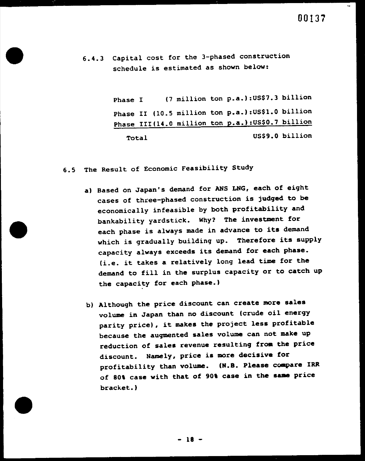# 6.4.3 Capital cost for the 3-phased construction schedule is estimated as shown below:

Phase I (7 million ton p.a.): US\$7.3 billion Phase II (10.5 million ton p.a.):US\$1.0 billion Phase III(14.0 million ton p.a.): US\$0.7 billion Total US\$9.0 billion

 $\bullet$ 

6.5 The Result of Economic Feasibility Study

a) Based on Japan's demand for ANS LNG, each of eight

b) Although the price discount can create more sales volume in Japan than no discount (crude oil energy parity price), it makes the project less profitable because the augmented sales volume can not make up reduction of sales revenue resulting from the price discount. Namely, price is more decisive for profitability than volume. (N.B. Please compare IRR of 80% case with that of 90% case in the same price

bracket.)

![](_page_33_Figure_8.jpeg)

cases of three-phased construction is judged to be economically infeasible by both profitability and bankability yardstick. Why? The investment for each phase is always made in advance to its demand which is gradually building up. Therefore its supply capacity always exceeds its demand for each phase. (i.e. it takes a relatively long lead time for the demand to fill in the surplus capacity or to catch up the capacity for each phase.)

•

- 18 -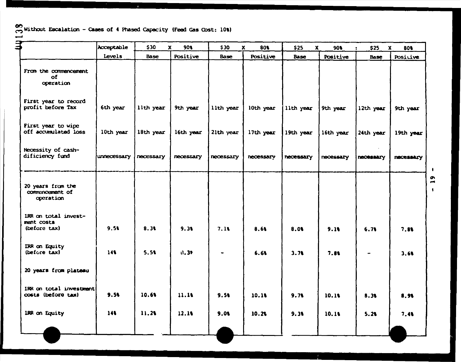and Without Escalation - Cases of 4 Phased Capacity (Feed Gas Cost: 10%)  $\longrightarrow$ 

 $\mathbf{q}$ 

|                                                    | Acceptable  | \$30        | 90              | \$30              | 801             | \$25<br>X | 90              | \$25           |
|----------------------------------------------------|-------------|-------------|-----------------|-------------------|-----------------|-----------|-----------------|----------------|
|                                                    | Levels      | <b>Base</b> | <b>Positive</b> | <b>Base</b>       | <b>Positive</b> | Base      | <b>Positive</b> | <b>Bas</b>     |
| From the commencement<br>ОĨ<br>operation           |             |             |                 |                   |                 |           |                 |                |
| First year to record<br>profit before Tax          | 6th year    | lith year   | 9th year        | lith year         | 10th year       | lith year | 9th year        | 12th ye        |
| First year to wipe<br>off accumulated loss         | 10th year   | 18th year   | 16th year       | $ 2$ lth year $ $ | 17th year       | 19th year | $16th$ year     | 24th ye        |
| Necessity of cash-<br>dificiency fund              | unnecessary | necessary   | necessary       | necessary         | necessary       | necessary | necessary       | <b>necessa</b> |
| 20 years from the<br>commencement of<br>operation  |             |             |                 |                   |                 |           |                 |                |
| IRR on total invest-<br>ment costs<br>(before tax) | 9.51        | 8.31        | 9.31            | 7.11              | 8.61            | 8.0%      | 9.16            | 6.76           |
| IRR on Equity<br>(before tax)                      | 141         | 5.51        | 0.39            | $\blacksquare$    | 6.61            | 3.71      | 7.81            |                |
| 20 years from plateau                              |             |             |                 |                   |                 |           |                 |                |
| IRR on total investment<br>costs (before tax)      | 9.5%        | 10.6%       | 11.10           | 9.51              | 10.10           | 9.71      | 10.10           | 8.3%           |
| IRR on Equity                                      | 141         | 11.21       | 12.10           | 9.01              | 10.26           | 9.31      | 10.18           | 5.21           |
|                                                    |             |             |                 |                   |                 |           |                 |                |

![](_page_34_Figure_3.jpeg)

 $\mathbf{r}$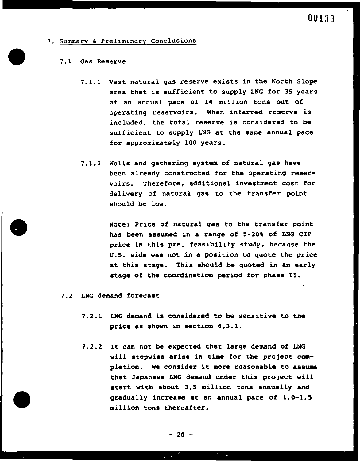![](_page_35_Picture_0.jpeg)

- 7. Summary & Preliminary Conclusions
	- 7.1 Gas Reserve
		- 7.1.1 Vast natural gas reserve exists in the North Slope area that is sufficient to supply LNG for 35 years at an annual pace of 14 million tons out of operating reservoirs. When inferred reserve is included, the total reserve is considered to be sufficient to supply LNG at the same annual pace for approximately 100 years.
		- 7.1.2 Wells and gathering system of natural gas have been already constructed for the operating reservoirs. Therefore, additional investment cost for

delivery of natural gas to the transfer point should be low.

- 7.2 LNG demand forecast
	- 7.2.1 LNG demand is considered to be sensitive to the price as shown in section 6.3.1.
	- 7.2.2 It can not be expected that large demand of LNG will stepwise arise in time for the project completion. We consider it more reasonable to assume that Japanese LNG demand under this project will

start with about 3.5 million tons annually and gradually increase at an annual pace of l.0-1.5 million tons thereafter.

Note: Price of natural gas to the transfer point has been assumed in a range of 5-20% of LNG CIF price in this pre. feasibility study, because the U.S. side was not in a position to quote the price at this stage. This should be quoted in an early stage of the coordination period for phase II.

•

![](_page_35_Picture_12.jpeg)

![](_page_35_Picture_13.jpeg)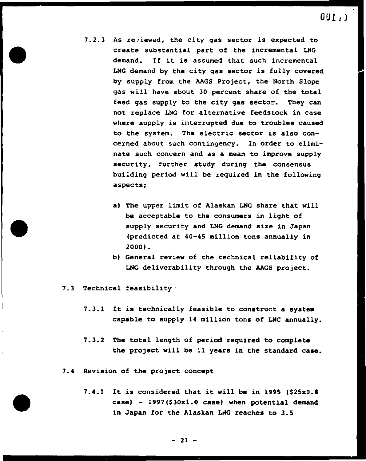$001.$ 

- 7.2.3 As reviewed, the city gas sector is expected to create substantial part of the incremental LNG demand. If it is assumed that such incremental LNG demand by the city gas sector is fully covered by supply from the AAGS Project, the North Slope gas will have about 30 percent share of the total feed gas supply to the city gas sector. They can not replace LNG for alternative feedstock in case where supply is interrupted due to troubles caused to the system. The electric sector is also concerned about such contingency. In order to eliminate such concern and as a mean to improve supply security, further study during the consensus building period will be required in the following aspects:
	- a) The upper limit of Alaskan LNG share that will be acceptable to the consumers in light of supply security and LNG demand size in Japan (predicted at 40-45 million tons annually in 2000).
	- b) General review of the technical reliability of LNG deliverability through the AAGS project.
- 7.3 Technical feasibility·
	- 7.3.1 It is technically feasible to construct a system capable to supply 14 million tons of LNG annually.
	- 7.3.2 The total length of period required to complete the project will be 11 years in the standard case.
- 7.4 Revision of the project concept

# 7.4.1 It is considered that it will be in 1995 (\$25x0.8 case) - 1997(\$30x1.0 case) when potential demand

in Japan for the Alaskan LNG reaches to 3.5

 $-21 -$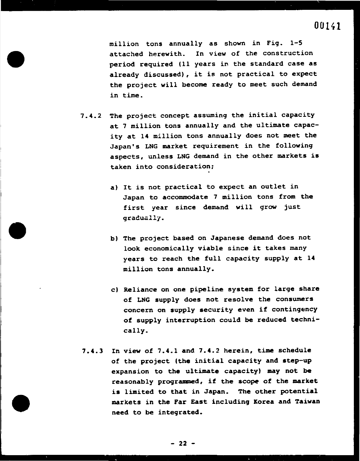•

00141

million tons annually as shown in Fig. l-5 attached herewith. In view of the construction period required (11 years in the standard case as already discussed), it is not practical to expect the project will become ready to meet such demand in time.

Japan to accommodate 7 million tons from the first year since demand will grow just gradually.

- b) The project based on Japanese demand does not look economically viable since it takes many years to reach the full capacity supply at 14 million tons annually.
- c) Reliance on one pipeline system for large share of LNG supply does not resolve the consumers concern on supply security even if contingency of supply interruption could be reduced technically.
- 7.4.3 In view of 7.4.1 and 7.4.2 herein, time schedule of the project (the initial capacity and step-up expansion to the ultimate capacity) may not be

7.4.2 The project concept assuming the initial capacity at 7 million tons annually and the ultimate capacity at 14 million tons annually does not meet the Japan's LNG market requirement in the following aspects, unless LNG demand in the other markets is taken into consideration:

•

a) It is not practical to expect an outlet in

reasonably programmed, if the scope of the market is limited to that in Japan. The other potential markets in the Far East including Korea and Taiwan need to be integrated.

 $-22 -$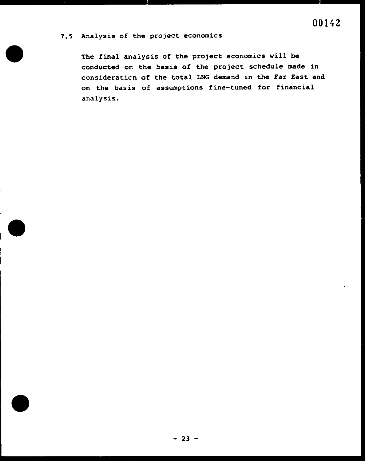## 7.5 Analysis of the project economics

The final analysis of the project economics will be conducted on the basis of the project schedule made in consideraticn of the total LNG demand in the Far East and on the basis of assumptions fine-tuned for financial analysis.

![](_page_38_Picture_4.jpeg)

![](_page_38_Picture_5.jpeg)

![](_page_38_Picture_3.jpeg)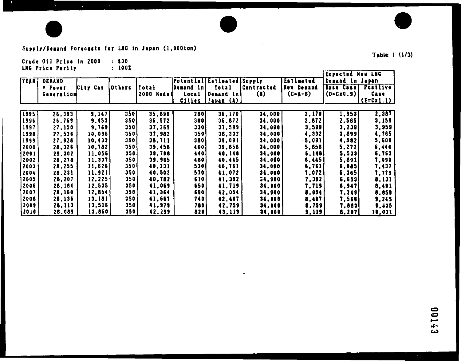![](_page_39_Picture_0.jpeg)

 $\Delta \phi$ 

## Supply/Demand Forecasts for LNG in Japan (1,000ton)

 $\mathcal{L}^{(k)}$ 

Crude Oil Price in 2000 : \$30

 $\mathbf{A}^{\text{max}}$ 

|                        | <b>LNG Price Parity</b> |                  | 1001              |                  |                          |                                                   |                            |                         | Expected New LNG                     |                     |
|------------------------|-------------------------|------------------|-------------------|------------------|--------------------------|---------------------------------------------------|----------------------------|-------------------------|--------------------------------------|---------------------|
| <b>TEAR!</b>           | DENAND<br>* Power       | City Gas         | <b> Others</b>    | Total            | Demand in!               | <b>Potential Estimated Supply</b><br><b>Total</b> | <b>Contracted</b>          | Estimated<br>New Demand | Demand in Japan<br><b>Base Casel</b> | Positive            |
|                        | Generation              |                  |                   | 2000 Nodell      | Local                    | <b> Demand in</b><br><u>Cities l'apan (A) i</u>   | $\left( \mathbf{B}\right)$ | $(C=A-B)$               | $(D = C x 0.9)$                      | Case<br>$(E=CL1.1)$ |
| $\sqrt{1995}$          | 26, 393                 | 3,147            | 350               | 35,890           | 280                      | 36,170                                            | 34,000                     | 2,170                   | 1, 953                               | 2,387               |
| 1996                   | 26,769                  | 9,453            | 350               | 36,572           | 300                      | 36, 872                                           | 34,000                     | 2,872                   | 2,585                                | 3,159               |
| 1997                   | 27,150                  | 9,769            | 350               | 37,269           | 330                      | 37,599                                            | 34,000                     | 3,599                   | 3,239                                | 3,959               |
| 1998                   | 27,536                  | 10,096           | 350               | 37,982           | 350                      | 38,332                                            | 34,000                     | 4,332                   | 3,8991                               | 4,765               |
| 1999<br> 2000          | 27,928<br>28,326        | 10,433<br>10,782 | 350<br>350        | 38,711<br>39,458 | <b>380</b><br>400        | 39,091<br>39,858                                  | 34,000<br>34,000           | 5,091<br>5,858          | 4,582<br>5,272                       | 5,600<br>6,444      |
| 12001                  | 28,302                  | 11,056           | 350               | 39,708           | 440                      | 40,148                                            | 34,000                     | 5,148                   | 5,5331                               | 6,763               |
| 2002                   | 28,278                  | 11.337           | 350               | 39,965           | 480                      | 40,445                                            | 34,000                     | 5,445                   | 5,801                                | 7,090               |
| 2003                   | 28.255                  | 11,626           | 350               | 40,231           | 530                      | 40,761                                            | 34,000                     | 5,761                   | 6,085                                | 7,437               |
| 2004                   | 28,231                  | 11,921           | 350               | 40,502           | 570                      | 41,072                                            | 34,000                     | 7,072                   | 6, 365                               | 7,779               |
| 12005                  | 28,207                  | 12.225           | 350               | 40,782           | 610                      | 41,392                                            | 34,000                     | 7,392                   | 6,653                                | 8,131               |
| 2006                   | 28,184                  | 12,535           | 350               | 41,069           | 650                      | 41,719                                            | 34,000                     | 7,719                   | 6, 947                               | 8,491               |
| $ 2007\rangle$<br>2008 | 28,160<br>28,136        | 12,854<br>13,181 | <b>350</b><br>350 | 41,364<br>41,667 | <b>690</b><br><b>740</b> | 42,054<br>42,407                                  | 34,000<br>34,000           | 8,054<br>3,407          | 7,249<br>7,566                       | 8,859<br>9,245      |
| 2009                   | 28,113                  | 13,516           | 350               | 41,979           | 780                      | 42,759                                            | 34,000                     | 8,759                   | 7,883                                | 9,635               |
| 2010                   | 28,089                  | 13,860           | 350               | 42,299           | 820                      | 43,119                                            | 34,000                     | 9,119                   | 8,207                                | <u>10,031 </u>      |

 $\bullet$ 

 $\sim$ 

![](_page_39_Picture_7.jpeg)

# Table 1 (1/3)

85143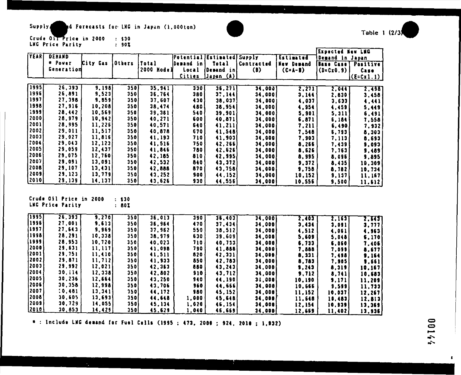Supply de Forecasts for LNG in Japan (1.000ton)

#### Crude OIT Price in 2000  $\therefore$  \$30 LNG Price Parity  $: 90X$

|                |            |          |               |               |                            |                    |                                    |            | Expected New LNG     |                                            |
|----------------|------------|----------|---------------|---------------|----------------------------|--------------------|------------------------------------|------------|----------------------|--------------------------------------------|
| <b>TEART</b>   | DENAND     |          |               |               | Potential Estimated Supply |                    |                                    | Estimated  | Demand in Japan      |                                            |
|                | * Power    | Kity Gas | <b>Others</b> | <b> Total</b> | <b>Demand in</b>           | <b>Total</b>       | Contracted                         | New Demand | Base Case   Positive |                                            |
|                | Generation |          |               | 2000 Nodell   | <b>Local</b>               | Demand in          | $\langle \pmb{\mathbb{I}} \rangle$ | $(C+A-B)$  | (CE C x 0.9)         | Case                                       |
|                |            |          |               |               | <b>Cities</b>              | <u> Japan (A) </u> |                                    |            |                      | $(\mathsf{E} = \mathsf{C} \mathbf{x} 1.1)$ |
| [1995]         | 26, 393    |          |               |               |                            |                    |                                    |            |                      |                                            |
|                |            | 9,198    | 350           | 35, 941       | 330                        | 36, 271            | 34,000                             | 2,271      | 2,044                | 2.498                                      |
| 1996           | 26,891     | 9,523    | 350           | 36,764        | 380                        | 37,144             | 34,000                             | 3,144      | 2,830                | 3,458                                      |
| 1997)          | 27,398     | 9,859    | <b>350</b>    | 37,607        | 430                        | 38,037             | 34,000}                            | 4,037      | 3.633                | 1, 441                                     |
| 1998           | 27,916     | 10,208   | 350           | 38,474        | 480                        | 38,954             | 34,000                             | 4,954      | 4,459                | 5,449                                      |
| $ 1999\rangle$ | 28,442     | 10.569   | <b>350</b>    | 39,361        | 540                        | 39,901             | 34,000)                            | 5,901      | 5,311                | 6,491                                      |
| 2000           | 28,979     | 10,942   | 350           | 40.271        | 600                        | 40.871             | 34,000                             | 6,871      | 6,184                | 7,558                                      |
| <b> 2001</b>   | 28,995     | 11,226   | 350           | 40,571        | 640                        | 41,211             | 34,000                             | 7,211      | 6,490                | 7,932                                      |
| 2002           | 29.011     | 11,517   | 350           | 40,878        | 670                        | 41.548             | 34,000                             | 7,548      | 6.793                | 8,303                                      |
| 2003           | 29,027     | 11,816   | 350           | 41,193        | 710                        | 41,903             | 34,000                             | 7,903      |                      |                                            |
| 2004           | 29,043     | 12, 123  | $350_1$       | 41,516        | 750                        |                    |                                    |            | 7,113                | 8,693                                      |
| 2005           | 29,059     |          |               |               |                            | 42,266)            | 34,000                             | 8,266      | 7,439                | 9,093                                      |
|                |            | 12,437   | 350           | 41,846        | 780                        | 42.626             | 34,000                             | 8,625      | 7,763                | 9,489                                      |
| [2006]         | 29,075     | 12,760   | 350           | 42,185        | 810                        | 42,995             | 34,000                             | 8,995      | 8.096                | 9,895                                      |
| 2007           | 29.091     | 13,091   | 350           | 42,532        | 840                        | 43,372             | 34,0001                            | 9,372      | 8,435                | 10,309                                     |
| 2008           | 29,107     | 13, 431  | 350           | 42,888        | 870                        | 43,758             | 34,000                             | 9,758      | 8.782                | 10,734                                     |
| 2009           | 29,123     | 13,779)  | 350           | 43,252        | 900                        | 44,152             | 34,000                             | 10.152     | 9,137                | 11,167                                     |
| [2010]         | 29,139     | 14,137   | 350           | 43,626        | 930                        | 44,556             | 34,000 <b>j</b>                    | 10,556     | 9,500                | 11.612                                     |

Crude Oil Price in 2000  $: $30$ LKG Price Parity  $: 80X$ 

| 1995             | $\overline{26}, \overline{393}$ | 9,270           | 350        | 36,013 | 390   | 36,403  | 34,000 | 2,403  | 2.165  | <b>2,6451</b> |
|------------------|---------------------------------|-----------------|------------|--------|-------|---------|--------|--------|--------|---------------|
| 1996             | 27,001                          | 9,613           | 350        | 36,964 | 470   | 37,434  | 34,000 | 3,434  | 3.091  | 3,777         |
| 1997             | 27,643                          | 9,969           | 350,       | 37,962 | 550   | 38,512  | 34,000 | 4,512  | 4,061  | 4,963         |
| 1998             | 28.291                          | 10,338          | <b>350</b> | 38.979 | 630   | 39,609  | 34,000 | 5,609  | 5,048  | 6,170         |
| 1999             | 28,953                          | 10,720          | 350        | 40.023 | 710   | 40, 733 | 34,000 | 6,733  | 6.060  | 7.405         |
| 2000             | 29,631                          | 11,117          | 350        | 41.098 | 790   | 41,888  | 34,000 | 7,888  | 7,099  | 8.677         |
| 2001             | 29,751                          | 11,410          | <b>350</b> | 41,511 | 820   | 42, 331 | 34,000 | 8,331  | 7,498  | 9,164         |
| $\frac{1}{2002}$ | 29,871                          | 11, 712         | 350        | 41,933 | 850   | 42,783  | 34,000 | 8,783  | 7,905  | 9.661         |
| 2003             | 29,992                          | 12.0211         | 350        | 42,363 | 880   | 43,243  | 34,000 | 9,243  | 8,319  | 10.167        |
| 2004             | 30.Il4                          | 12, 338         | 350        | 42,802 | 910   | 43, 712 | 34,000 | 9,712  | 8,741  | 10.683        |
| 2005             | 30,236                          | 12,664          | 350        | 43,250 | 940   | 44.190  | 34,000 | 10,190 | 9,171  | 11,209        |
| (2006)           | 30,358                          | 12,998          | 350        | 43,706 | 960   | 44,666  | 34,000 | 10,666 | 9,599  | 11,733        |
| 2007             | 10,481                          | 13,341          | 350        | 44,172 | 980   | 45,152  | 34,000 | 11,152 | 10.037 | 12,267        |
| 2008             | 30,605                          | 13,693          | 350        | 44,648 | 1,000 | 45,648  | 34,000 | 11,648 | 10,483 | 12.813        |
| 12009            | 30, 729                         | 14,055          | 350)       | 45,134 | 1,620 | 46,154  | 34,000 | 12,154 | 10,939 | 13,369        |
| 2010             | 30,853                          | <u>14,425  </u> | 350        | 45,629 | 1,040 | 46,669  | 34,000 | 12,669 | 11,402 | 19,936        |

**D** 

 $\bullet$  : Include LNG demand for Fuel Cells (1995 ; 473, 2000 ; 924, 2010 ; 1,932)

 $\mathcal{A}^{\pm}$ 

222100

 $\mathbf{r}$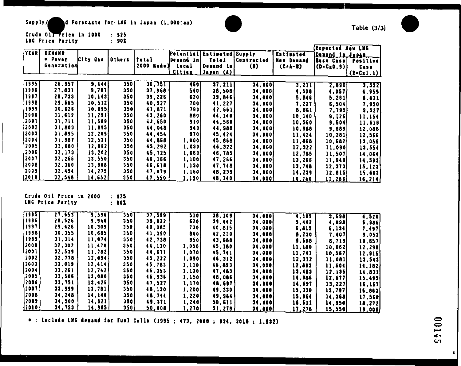Supply/ d Forecasts for LNG in Japan (1,000ton)

|  | Crude Oil Price in 2000 |  | $\therefore$ \$25 |
|--|-------------------------|--|-------------------|
|  | <b>LNG Price Parity</b> |  | $\mathbf{.}$ 901  |

|                |                                             |          |                            |               |               |                            |                              |                    | Expected New LNG       |                    |
|----------------|---------------------------------------------|----------|----------------------------|---------------|---------------|----------------------------|------------------------------|--------------------|------------------------|--------------------|
| <b>YEAR</b>    | <b>DENAND</b>                               |          |                            |               |               | Potential Estimated Supply |                              | <b>Estimated</b>   | <b>Demand in Japan</b> |                    |
|                | * Pover                                     | City Gas | <b>Others</b>              | <b>Total</b>  | Demand in!    | <b>Total</b>               | <b>Contracted</b>            | New Demand         | Base Case              | Positive           |
|                | Generation                                  |          |                            | 2000 Nodel    | Local         | Demand inl                 | $\langle \mathbf{l} \rangle$ | $(C=A-B)$          | (D=Cx0.9)}             | Case               |
|                |                                             |          |                            |               | <u>Cities</u> | <u> Japan (A)</u>          |                              |                    |                        | $(E=Cx1.1)$        |
|                |                                             |          |                            |               |               |                            |                              |                    |                        |                    |
| [1995]         | 26.957                                      | 9,444    | 350 I                      | 36, 751       | <b>460</b>    | 37, 211                    | 34,000                       | 3,211              | 2,890                  | 3.5321             |
| [1996]         | 27,831                                      | 9,787    | 350                        | 37,968        | 540           | 38,508                     | 34,000                       | 4,508              | 4,057                  | 4, 959             |
| 1997           | 28,733                                      | 10,143   | 350 I                      | 39,226        | 620           | 39,846                     | 34,000                       | 5,846              | 5,261                  | 6,431              |
| 1998           | 29,665                                      | 10,5121  | 350                        | 40.527        | 700           | 41,227                     | 34,000                       | 7.227              | 6,504                  | 7,950              |
| 1999           | 30.626                                      | 10.895   | 350                        | 41,871        | 790           | 42.561                     | 34,000                       | 8,661              | 7,795                  | 3,527              |
| 2000           | 31,619                                      | 11,291   | 350                        | 43,260        | 880           | 44,140                     | 34,000                       | 10,140             | 9.126                  | 11,154             |
| 2001           | 31,711                                      | 11.589   | <b>3501</b>                | 43,850        | 910           | 44,560                     | 34,000                       | 10,550             | 9,504                  | 11,616             |
| 2002           | 31,803                                      | 11,895   | 350                        | 44,048        | 940           | 44,588                     | 34,000                       | 10,988             | 9,889                  | 12,086             |
| (2003)         | 31.895                                      | 12.2091  | 350                        | 44,454        | <b>970</b>    | 45,424                     | 34,000                       | 11,424             | 10,281                 | 12,566             |
| <b>2004</b>    | 31,987                                      | 12,531   | 350 <sub>1</sub>           | 44,868        | 1,000         | 45,868                     | <b>34,000</b>                | 11,868             | 10,682                 | 13,055             |
| 2005           | 32,080                                      | 12,862   | 350                        | 45,292        | 1,030         | 46,3221                    | 34,000                       | 12,322             | 11,090                 | 13,554             |
| $ 2005\rangle$ | 32.173                                      | 13,202   | 350                        | 45,725        | 1,060)        | 46,785                     | 34,000                       | 12,785             | 11,507                 | 14,054             |
| 2007           | 32,266                                      | 13,550   | 350                        | 46,166        | 1,100         | 47,266                     | 34,000                       | 13,266             | 11,940                 | 14,593             |
| 2008           | 32,360                                      | 13,908   | 350                        | 46,518        | 1,130         | 47,748                     | 34,000                       | 13,748             | 12,373                 | 15,123             |
| $ 2009\rangle$ | 32,454                                      | 14,275   | 350                        | 47,079        | 1,160         | 48,239                     | 34,000                       | 14,239             | 12,815                 | 15,663             |
| (2010)         | 32,548                                      | 14,652   | 350                        | <u>47,550</u> | 1,190         | <u>48,740 [</u>            | 34,000                       | <u>14,740</u>      | <u> 13,2661</u>        | 16,214             |
|                | Crude Oil Price in 2000<br>LNG Price Parity |          | $\therefore$ \$25<br>: 801 |               |               |                            |                              |                    |                        |                    |
| 1995           | 27,655                                      | 9,596    | 350                        | 37,599        | 510           | 38,109                     | 34,000                       | $\overline{4,109}$ | 3,698                  | $\overline{4,520}$ |
| (1996)         | 28.526                                      | 9,946    | 350                        | 38,822        | 620           | 39,442                     | 34,000                       | 5,442              | 4,898                  | 5.986              |
| 1997           | 29,426                                      | 10, 309  | 350                        | 40,085        | 730 I         | 40,815                     | 34,000                       | 6,815              | 6,134                  | 7,497              |
| 1998           | 30,355                                      | 10,685   | 350                        | 41,390        | 840           | 42,230                     | 34,000                       | 8,230              | 7,407                  | 9,053              |
| 1999           | 31.314                                      | 11,074   | 350                        | 42,738        | \$50]         | 43,688                     | 34.000                       | 9,688              | 8,719                  | 10,657             |
| 2000           | 32.302                                      | 11,478   | 350                        | 44,130        | 1,050         | 45,180                     | 34,000                       | 11,180             | 10,062                 | 12,298             |
| <b>2001</b>    | 32,539                                      | 11,782   | 350                        | 44,671        | 1.070         | 45,741                     | 34,000                       | 11,741             | 10,567                 | 12, 915            |
| 2002           | 32,778                                      | 12,094   | 350                        | 45.222        | 1,090         | 46, 312                    | 34.000                       | 12, 312            | 11,081                 | 13,543             |
| [2003]         | 33,019                                      | 12,414   | 350                        | 45,783        | 1,110         | 46,893                     | 34,000                       | 12,893             | 11,604                 | 14.182             |
| 2004           | 33,251                                      | 12, 742  | 350                        | 46,353        | 1,130         | 47,483                     | 34,000                       | 13,483             | 12.135                 | 14,831             |
| 2005           | 33,506                                      | 13,080   | 350                        | 45,936        | 1.150         | 48,086                     | 34,000                       | 14,086             | 12,677                 | 15,495             |
| 12006          | 33.751                                      | 13,425   | 350                        | 47,527        | 1,170         | 48,697                     | 34,000                       | 14,697             | 13,227                 | 16,167             |
| ${2007}$       | 33,999                                      | 13,781   | 350                        | 48,130        | 1, 200        | 49,330                     | 34,000                       | 15,330             | 13,797                 | 16,863             |
| 2008           | 34, 248                                     | 14,146   | 350                        | 48,744        | 1, 220        | 49,964                     | 34,000                       | 15,964             | 14,368                 | 17,560             |
| 2009           | 34,500                                      | 14,521   | <b>3501</b>                | 49,371        | 1,240         | 50, 611                    | 34,000                       | 16,611             | 14,950                 | 18,272             |
| 2010           | 34,753                                      | 14,905   | 350                        | <u>50,008</u> | <u>1,270}</u> | <u>51,278  </u>            | 34,000                       | <u>17,278 </u>     | <u> 15,550]</u>        | <u>19,006</u>      |
|                |                                             |          |                            |               |               |                            |                              |                    |                        |                    |

|  | Crude Oil Price in 2000 |  | : 325 |
|--|-------------------------|--|-------|
|  | LNG Price Parity        |  | : 80) |

|                |                                             |          |                            |               |                   |                            |                              |                  | Expected New LNG        |                    |
|----------------|---------------------------------------------|----------|----------------------------|---------------|-------------------|----------------------------|------------------------------|------------------|-------------------------|--------------------|
| <b>YEAR</b>    | <b>DENAND</b>                               |          |                            |               |                   | Potential Estimated Supply |                              | <b>Estimated</b> | <b>IDemand in Japan</b> |                    |
|                | * Pover                                     | City Gas | <b>Others</b>              | Total         | <b>Demand</b> inl | <b>Total</b>               | <b>Contracted</b>            | New Demand       | <b>Base Casel</b>       | Positive           |
|                | Generation                                  |          |                            | 2000 Nodel    | Local             | Demand in                  | $\langle \mathbf{l} \rangle$ | $(C=A-B)$        | $(O=C_2O.9)$            | Case               |
|                |                                             |          |                            |               | <u>Cities</u>     | <u> Japan (A)</u>          |                              |                  |                         | $(E=Cx1.1)$        |
|                |                                             |          |                            |               |                   |                            |                              |                  |                         |                    |
| <b>1995</b>    | 26.957                                      | 9.444    | 350                        | 36,751        | <b>460</b>        | 37, 211                    | 34,000                       | 3,211            | 2,890]                  | 3.332              |
| [1996]         | 27,831                                      | 9,787    | 350                        | 37,968        | 540               | 38,508                     | 34,000                       | 4,508            | 4,057                   | 4, 959             |
| 1997           | 28,733                                      | 10,143   | <b>3501</b>                | 39,226        | 620               | 39,846                     | 34,000                       | 5,846            | 5,261                   | 6,431              |
| 1998           | 29,665                                      | 10,512   | 350                        | 40.527        | 700               | 41,227                     | 34,000                       | 7.227            | 6,504                   | 7,950              |
| 1999           | 30,626                                      | 10,895   | 350                        | 41,871        | 790]              | 42.661                     | 34,000)                      | 8,661            | 7,795                   | 3,527              |
| 2000           | 31,619                                      | 11,291   | 350                        | 43,260        | 880               | 44,140                     | 34,000                       | 10,140           | <b>9.1261</b>           | 11,154             |
| 2001           | 31,711                                      | 11,589   | 350                        | 43,850        | 910               | 44,560                     | 34,000                       | 10,560           | 9,504                   | 11,616             |
| 2002           | 31,803                                      | 11,895   | 350                        | 44,048        | 940               | 44, 988                    | 34,000                       | 10,988           | 9,889                   | 12,086             |
| (2003)         | 31.895                                      | 12.209   | 350                        | 44.454        | <b>970</b>        | 45,424                     | 34,000                       | 11,424           | 10,281                  | 12,566             |
| 2004           | 31,987                                      | 12,531   | 350 <sub>1</sub>           | 44,868        | 1,000             | 45,868                     | <b>34,000</b>                | 11,868           | 10,682                  | 13,055             |
| 2005           | 32,080                                      | 12,862   | 350                        | 45,292        | 1,030             | 46,322                     | 34,000                       | 12,322           | 11,0901                 | 13,554             |
| 2005           | 32.173                                      | 13, 202  | 350                        | 45,725        | 1,060)            | 46.785                     | 34,000                       | 12,785           | 11,507                  | 14,054             |
| 2007           | 32,266                                      | 13,550   | 350                        | 46,166        | 1,100             | 47,266                     | 34,000                       | 13,266           | 11,940                  | 14,593             |
| 2008           | 32,360                                      | 13,908   | 350                        | 46,518        | 1,130             | 47,748                     | 34,000                       | 13,748           | 12,373                  | 15,123             |
| 2009           | 32,454                                      | 14,275   | 350                        | 47.079        | 1,160             | 48,239                     | 34,000                       | 14,239           | 12,815                  | 15,663             |
| <u>[2010</u>   | 32,548                                      | 14,652   | 350                        | <u>47,550</u> | <u>1,190 </u>     | <u>48,740 [</u>            | 34,0001                      | <u>14,740 </u>   | <u> 13,266]</u>         | <u>16,214  </u>    |
|                | Crude Oil Price in 2000<br>LNG Price Parity |          | $\therefore$ \$25<br>: 801 |               |                   |                            |                              |                  |                         |                    |
| 1995           | 27,655                                      | 9,596    | 350]                       | 37,599        | 510               | 38,109                     | 34,000                       | 4,109            | 3,698                   | $\overline{4.520}$ |
| 1996)          | 28.526                                      | 9,946    | 350                        | 38,822        | 620               | 39,442                     | 34,000                       | 5,442            | 4,898                   | 5, 986             |
| 1997           | 29.426                                      | 10,309   | 350                        | 40,085        | 730               | 40.815                     | 34,000                       | 6,815            | 6,134                   | 7,497              |
| 1998           | 30,355                                      | 10,685   | 350                        | 41,390        | 840               | 42,230                     | 34,000                       | 8,230            | 7,407                   | 9.053]             |
| 1999           | 31.314                                      | 11,074   | 350                        | 42,738        | \$50]             | 43,688                     | 34,000                       | 9,688            | 8,719]                  | 10,657             |
| 2000           | 32.302                                      | 11,478   | 350                        | 44,130        | 1,050             | 45,180                     | 34,000                       | 11,180           | 10,062                  | 12,298             |
| <b>2001</b>    | 32,539                                      | 11,782   | 350                        | 44,671        | 1.070             | 45,741                     | 34,000                       | 11,741           | 10,567                  | 12,915             |
| 2002           | 32,778                                      | 12,094   | 350                        | 45.222        | 1,090             | 46,312                     | 34.000                       | 12,312           | 11,081                  | 13,543             |
| 2003<br> 2004  | 33,019                                      | 12,414   | 350                        | 45,783        | 1,110             | 46,893                     | 34,000                       | 12,893           | 11,604                  | 14.182             |
|                | 33,261                                      | 12.742   | 350                        | 46,353        | 1,130             | 47,483                     | 34,000                       | 13,483           | 12.135                  | 14,831             |
| 2005           | 33,506                                      | 13,080   | 350                        | 45,936        | 1.150             | 48,086                     | 34,000                       | 14,086           | 12,677                  | 15,495             |
| 2006           | 33.751                                      | 13,425   | 350                        | 47,527        | 1,170             | 48,697                     | 34,000                       | 14,697           | 13,227                  | 16,167             |
| ${2007}$       | 33,999                                      | 13,7811  | 350                        | 48,130        | 1, 200            | 49,330                     | 34,000                       | 15,330           | 13,797                  | 16,863             |
| 2008           | 34,248                                      | 14,146   | 350                        | 48,744        | 1, 220            | 49,964                     | 34,000                       | 15,964           | 14,368                  | 17,560             |
| 2009           | 34,500                                      | 14,521   | 350                        | 49,371        | 1,240             | 50,611                     | 34,000                       | 16,611           | 14,950                  | 18,272             |
| <u> 2010  </u> | <u>34,753</u>                               | 14,905   | <u>350]</u>                | <u>50,008</u> | <u>1,270}</u>     | <u>51,278  </u>            | <u>34,000}</u>               | 17,278           | <u> 15,550]</u>         | <u>19,006</u>      |
|                |                                             |          |                            |               |                   |                            |                              |                  |                         |                    |

 $\bullet$  : Include LNG demand for Fuel Cells (1995 ; 473, 2000 ; 924, 2010 ; 1,932)

![](_page_41_Picture_7.jpeg)

Table  $(3/3)$ 

# 22100

![](_page_41_Picture_11.jpeg)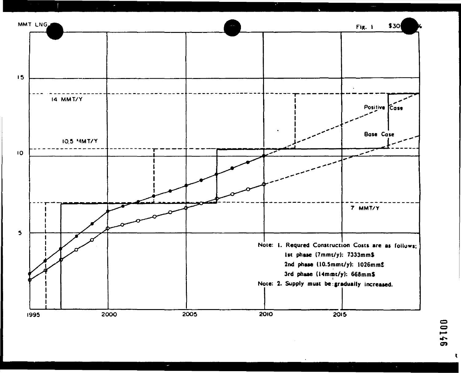![](_page_42_Figure_0.jpeg)

**College** 

 $\sim$ 

 $\mathcal{L}^{\text{max}}$  and  $\mathcal{L}^{\text{max}}$ 

![](_page_42_Picture_5.jpeg)

 $\sim$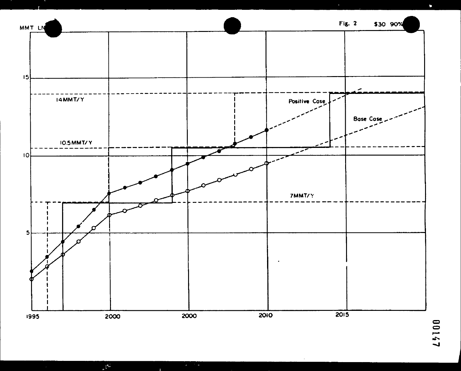![](_page_43_Figure_0.jpeg)

 $\mathbf{r}^{(n)}$ 

 $\chi_{\rm{eff}} \gtrsim 10$ 

 $\sim$ 

 $\bullet$  .

# 75100

 $\blacksquare$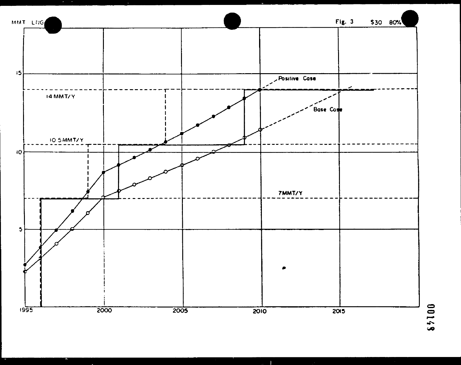![](_page_44_Figure_0.jpeg)

 $\Delta$ 

![](_page_44_Picture_1.jpeg)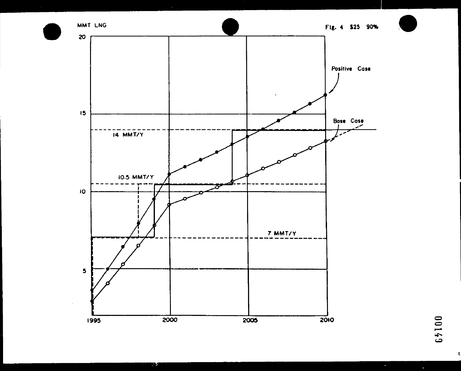![](_page_45_Figure_0.jpeg)

![](_page_45_Picture_2.jpeg)

 $\sigma$  .

 $\bullet$